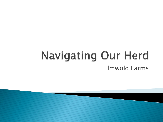#### **Navigating Our Herd** Elmwold Farms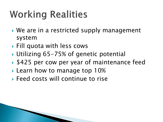# **Working Realities**

- ▶ We are in a restricted supply management system
- Fill quota with less cows
- ▶ Utilizing 65-75% of genetic potential
- ▶ \$425 per cow per year of maintenance feed
- **Learn how to manage top 10%**
- **Feed costs will continue to rise**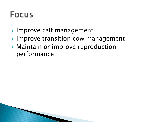#### **Focus**

- ▶ Improve calf management
- ▶ Improve transition cow management
- Maintain or improve reproduction performance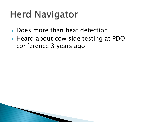#### **Herd Navigator**

- Does more than heat detection
- ▶ Heard about cow side testing at PDO conference 3 years ago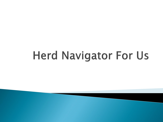# **Herd Navigator For Us**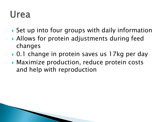#### Urea

- ▶ Set up into four groups with daily information
- Allows for protein adjustments during feed changes
- ▶ 0.1 change in protein saves us 17kg per day
- Maximize production, reduce protein costs and help with reproduction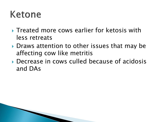#### Ketone

- Treated more cows earlier for ketosis with less retreats
- Draws attention to other issues that may be affecting cow like metritis
- Decrease in cows culled because of acidosis and DAs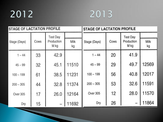#### 



| <b>STAGE OF LACTATION PROFILE</b> |      |                                       |            | <b>STAGE OF LACTATION PROFILE</b> |      |                                       |            |
|-----------------------------------|------|---------------------------------------|------------|-----------------------------------|------|---------------------------------------|------------|
| Stage (Days)                      | Cows | <b>Test Day</b><br>Production<br>M kg | Milk<br>kg | Stage (Days)                      | Cows | <b>Test Day</b><br>Production<br>M kg | Milk<br>kg |
| $1 - 44$                          | 33   | 42.9                                  |            | $1 - 44$                          | 20   | 41.9                                  |            |
| $45 - 99$                         | 32   | 45.1                                  | 11510      | $45 - 99$                         | 29   | 49.7                                  | 12569      |
| $100 - 199$                       | 61   | 38.5                                  | 11231      | $100 - 199$                       | 56   | 40.8                                  | 12017      |
| $200 - 305$                       | 44   | 32.8                                  | 11374      | $200 - 305$                       | 53   | 32.6                                  | 11591      |
| <b>Over 305</b>                   | 17   | 26.0                                  | 12164      | Over 305                          | 12   | 28.0                                  | 11570      |
| Dry                               | 15   |                                       | 11692      | Dry                               | 26   |                                       | 11864      |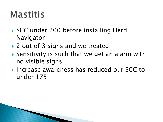#### **Mastitis**

- ▶ SCC under 200 before installing Herd Navigator
- ▶ 2 out of 3 signs and we treated
- Sensitivity is such that we get an alarm with no visible signs
- ▶ Increase awareness has reduced our SCC to under 175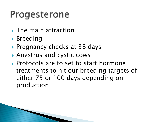#### Progesterone

- ▶ The main attraction
- ▶ Breeding
- ▶ Pregnancy checks at 38 days
- Anestrus and cystic cows
- ▶ Protocols are to set to start hormone treatments to hit our breeding targets of either 75 or 100 days depending on production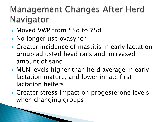#### **Management Changes After Herd** Navigator

- Moved VWP from 55d to 75d
- ▶ No longer use ovasynch
- Greater incidence of mastitis in early lactation group adjusted head rails and increased amount of sand
- MUN levels higher than herd average in early lactation mature, and lower in late first lactation heifers
- Greater stress impact on progesterone levels when changing groups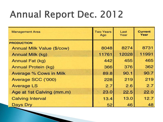#### **Annual Report Dec. 2012**

| <b>Management Area</b>            | <b>Two Years</b><br>Ago | Last<br>Year | <b>Current</b><br>Year |
|-----------------------------------|-------------------------|--------------|------------------------|
| <b>PRODUCTION</b>                 |                         |              |                        |
| <b>Annual Milk Value (\$/cow)</b> | 8048                    | 8274         | 8731                   |
| Annual Milk (kg)                  | 11761                   | 12028        | 11991                  |
| Annual Fat (kg)                   | 442                     | 455          | 465                    |
| Annual Protein (kg)               | 366                     | 376          | 362                    |
| <b>Average % Cows in Milk</b>     | 89.8                    | 90.1         | 90.7                   |
| Average SCC ('000)                | 228                     | 219          | 219                    |
| <b>Average LS</b>                 | 2.7                     | 2.6          | 2.7                    |
| Age at 1st Calving (mm.m)         | 23.0                    | 22.5         | 22.0                   |
| <b>Calving Interval</b>           | 13.4                    | 13.0         | 12.7                   |
| Days Dry                          | 52                      | 46           | 48                     |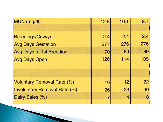| MUN (mg/dl)                       | 12.5 | 10.1 | 9.7 |
|-----------------------------------|------|------|-----|
|                                   |      |      |     |
| Breedings/Cow/yr                  | 2.4  | 2.4  | 2.4 |
| <b>Avg Days Gestation</b>         | 277  | 276  | 276 |
| <b>Avg Days to 1st Breeding</b>   | 70   | 69   | 89  |
| <b>Avg Days Open</b>              | 126  | 114  | 105 |
|                                   |      |      |     |
|                                   |      |      |     |
| <b>Voluntary Removal Rate (%)</b> | 16   | 12   | 22  |
| Involuntary Removal Rate (%)      | 26   | 23   | 30  |
| Dairy Sales (%)                   | 7    | 4    | 8   |
|                                   |      |      |     |